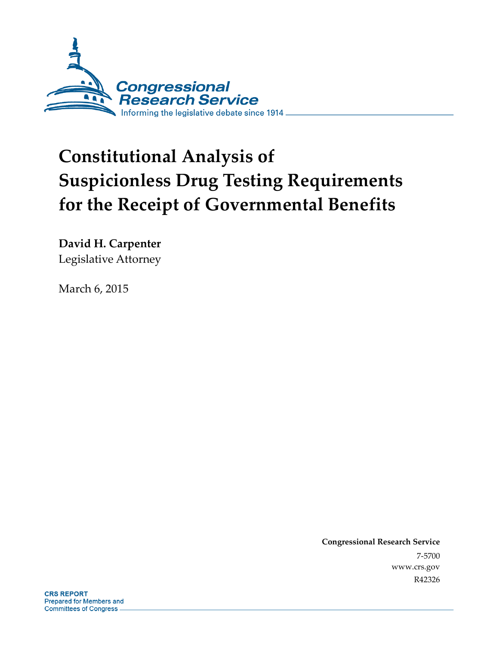

# **Constitutional Analysis of Suspicionless Drug Testing Requirements for the Receipt of Governmental Benefits**

**David H. Carpenter**  Legislative Attorney

March 6, 2015

**Congressional Research Service**  7-5700 www.crs.gov R42326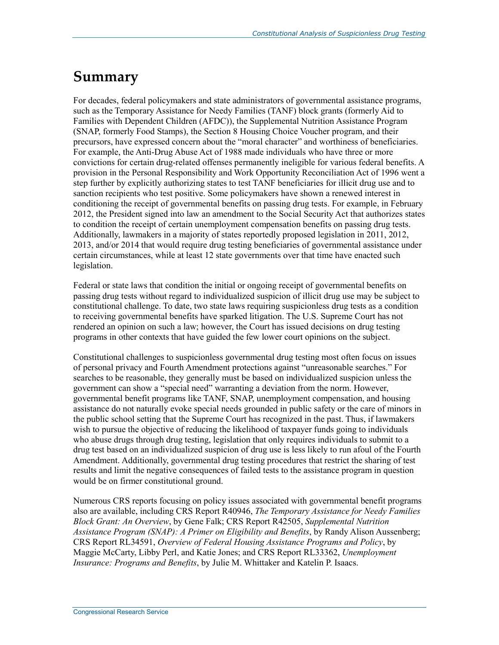## **Summary**

For decades, federal policymakers and state administrators of governmental assistance programs, such as the Temporary Assistance for Needy Families (TANF) block grants (formerly Aid to Families with Dependent Children (AFDC)), the Supplemental Nutrition Assistance Program (SNAP, formerly Food Stamps), the Section 8 Housing Choice Voucher program, and their precursors, have expressed concern about the "moral character" and worthiness of beneficiaries. For example, the Anti-Drug Abuse Act of 1988 made individuals who have three or more convictions for certain drug-related offenses permanently ineligible for various federal benefits. A provision in the Personal Responsibility and Work Opportunity Reconciliation Act of 1996 went a step further by explicitly authorizing states to test TANF beneficiaries for illicit drug use and to sanction recipients who test positive. Some policymakers have shown a renewed interest in conditioning the receipt of governmental benefits on passing drug tests. For example, in February 2012, the President signed into law an amendment to the Social Security Act that authorizes states to condition the receipt of certain unemployment compensation benefits on passing drug tests. Additionally, lawmakers in a majority of states reportedly proposed legislation in 2011, 2012, 2013, and/or 2014 that would require drug testing beneficiaries of governmental assistance under certain circumstances, while at least 12 state governments over that time have enacted such legislation.

Federal or state laws that condition the initial or ongoing receipt of governmental benefits on passing drug tests without regard to individualized suspicion of illicit drug use may be subject to constitutional challenge. To date, two state laws requiring suspicionless drug tests as a condition to receiving governmental benefits have sparked litigation. The U.S. Supreme Court has not rendered an opinion on such a law; however, the Court has issued decisions on drug testing programs in other contexts that have guided the few lower court opinions on the subject.

Constitutional challenges to suspicionless governmental drug testing most often focus on issues of personal privacy and Fourth Amendment protections against "unreasonable searches." For searches to be reasonable, they generally must be based on individualized suspicion unless the government can show a "special need" warranting a deviation from the norm. However, governmental benefit programs like TANF, SNAP, unemployment compensation, and housing assistance do not naturally evoke special needs grounded in public safety or the care of minors in the public school setting that the Supreme Court has recognized in the past. Thus, if lawmakers wish to pursue the objective of reducing the likelihood of taxpayer funds going to individuals who abuse drugs through drug testing, legislation that only requires individuals to submit to a drug test based on an individualized suspicion of drug use is less likely to run afoul of the Fourth Amendment. Additionally, governmental drug testing procedures that restrict the sharing of test results and limit the negative consequences of failed tests to the assistance program in question would be on firmer constitutional ground.

Numerous CRS reports focusing on policy issues associated with governmental benefit programs also are available, including CRS Report R40946, *The Temporary Assistance for Needy Families Block Grant: An Overview*, by Gene Falk; CRS Report R42505, *Supplemental Nutrition Assistance Program (SNAP): A Primer on Eligibility and Benefits*, by Randy Alison Aussenberg; CRS Report RL34591, *Overview of Federal Housing Assistance Programs and Policy*, by Maggie McCarty, Libby Perl, and Katie Jones; and CRS Report RL33362, *Unemployment Insurance: Programs and Benefits*, by Julie M. Whittaker and Katelin P. Isaacs.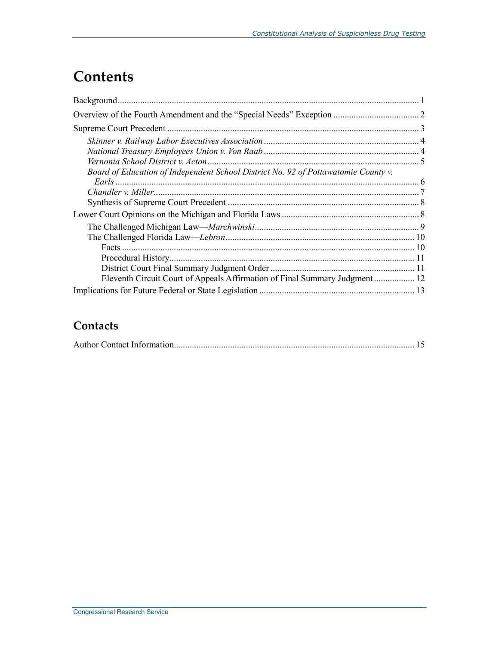## **Contents**

| Board of Education of Independent School District No. 92 of Pottawatomie County v. |  |
|------------------------------------------------------------------------------------|--|
|                                                                                    |  |
|                                                                                    |  |
|                                                                                    |  |
|                                                                                    |  |
|                                                                                    |  |
|                                                                                    |  |
|                                                                                    |  |
|                                                                                    |  |
|                                                                                    |  |
| Eleventh Circuit Court of Appeals Affirmation of Final Summary Judgment 12         |  |
|                                                                                    |  |

### **Contacts**

|--|--|--|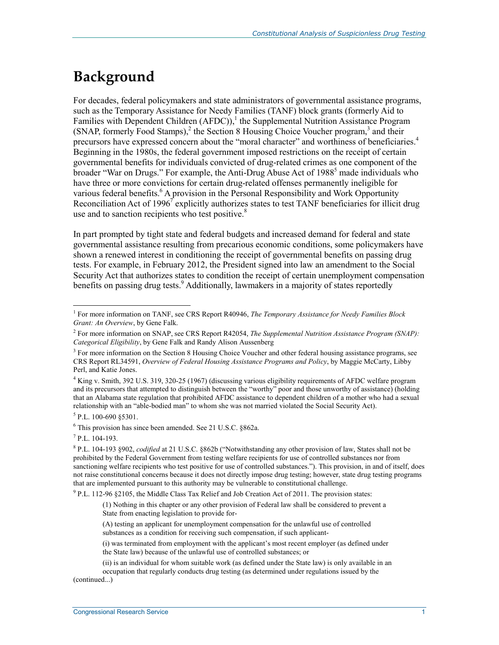## **Background**

For decades, federal policymakers and state administrators of governmental assistance programs, such as the Temporary Assistance for Needy Families (TANF) block grants (formerly Aid to Families with Dependent Children  $(AFDC)$ , the Supplemental Nutrition Assistance Program (SNAP, formerly Food Stamps),<sup>2</sup> the Section 8 Housing Choice Voucher program,<sup>3</sup> and their precursors have expressed concern about the "moral character" and worthiness of beneficiaries.<sup>4</sup> Beginning in the 1980s, the federal government imposed restrictions on the receipt of certain governmental benefits for individuals convicted of drug-related crimes as one component of the broader "War on Drugs." For example, the Anti-Drug Abuse Act of 1988<sup>5</sup> made individuals who have three or more convictions for certain drug-related offenses permanently ineligible for various federal benefits.<sup>6</sup> A provision in the Personal Responsibility and Work Opportunity Reconciliation Act of 1996<sup>7</sup> explicitly authorizes states to test TANF beneficiaries for illicit drug use and to sanction recipients who test positive. $8$ 

In part prompted by tight state and federal budgets and increased demand for federal and state governmental assistance resulting from precarious economic conditions, some policymakers have shown a renewed interest in conditioning the receipt of governmental benefits on passing drug tests. For example, in February 2012, the President signed into law an amendment to the Social Security Act that authorizes states to condition the receipt of certain unemployment compensation benefits on passing drug tests.<sup>9</sup> Additionally, lawmakers in a majority of states reportedly

4 King v. Smith, 392 U.S. 319, 320-25 (1967) (discussing various eligibility requirements of AFDC welfare program and its precursors that attempted to distinguish between the "worthy" poor and those unworthy of assistance) (holding that an Alabama state regulation that prohibited AFDC assistance to dependent children of a mother who had a sexual relationship with an "able-bodied man" to whom she was not married violated the Social Security Act).

<sup>5</sup> P.L. 100-690 §5301.

6 This provision has since been amended. See 21 U.S.C. §862a.

7 P.L. 104-193.

1

8 P.L. 104-193 §902, *codified* at 21 U.S.C. §862b ("Notwithstanding any other provision of law, States shall not be prohibited by the Federal Government from testing welfare recipients for use of controlled substances nor from sanctioning welfare recipients who test positive for use of controlled substances."). This provision, in and of itself, does not raise constitutional concerns because it does not directly impose drug testing; however, state drug testing programs that are implemented pursuant to this authority may be vulnerable to constitutional challenge.

<sup>9</sup> P.L. 112-96 §2105, the Middle Class Tax Relief and Job Creation Act of 2011. The provision states:

(1) Nothing in this chapter or any other provision of Federal law shall be considered to prevent a State from enacting legislation to provide for-

(A) testing an applicant for unemployment compensation for the unlawful use of controlled substances as a condition for receiving such compensation, if such applicant-

(i) was terminated from employment with the applicant's most recent employer (as defined under the State law) because of the unlawful use of controlled substances; or

(ii) is an individual for whom suitable work (as defined under the State law) is only available in an

occupation that regularly conducts drug testing (as determined under regulations issued by the

(continued...)

<sup>&</sup>lt;sup>1</sup> For more information on TANF, see CRS Report R40946, *The Temporary Assistance for Needy Families Block Grant: An Overview*, by Gene Falk.

<sup>2</sup> For more information on SNAP, see CRS Report R42054, *The Supplemental Nutrition Assistance Program (SNAP): Categorical Eligibility*, by Gene Falk and Randy Alison Aussenberg

<sup>&</sup>lt;sup>3</sup> For more information on the Section 8 Housing Choice Voucher and other federal housing assistance programs, see CRS Report RL34591, *Overview of Federal Housing Assistance Programs and Policy*, by Maggie McCarty, Libby Perl, and Katie Jones.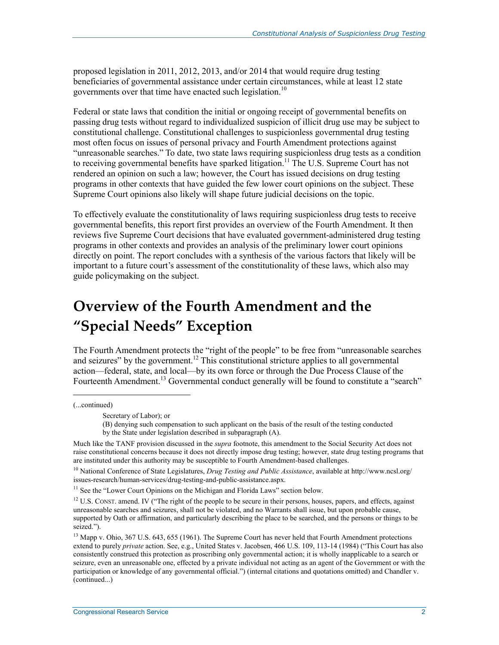proposed legislation in 2011, 2012, 2013, and/or 2014 that would require drug testing beneficiaries of governmental assistance under certain circumstances, while at least 12 state governments over that time have enacted such legislation.<sup>10</sup>

Federal or state laws that condition the initial or ongoing receipt of governmental benefits on passing drug tests without regard to individualized suspicion of illicit drug use may be subject to constitutional challenge. Constitutional challenges to suspicionless governmental drug testing most often focus on issues of personal privacy and Fourth Amendment protections against "unreasonable searches." To date, two state laws requiring suspicionless drug tests as a condition to receiving governmental benefits have sparked litigation.<sup>11</sup> The U.S. Supreme Court has not rendered an opinion on such a law; however, the Court has issued decisions on drug testing programs in other contexts that have guided the few lower court opinions on the subject. These Supreme Court opinions also likely will shape future judicial decisions on the topic.

To effectively evaluate the constitutionality of laws requiring suspicionless drug tests to receive governmental benefits, this report first provides an overview of the Fourth Amendment. It then reviews five Supreme Court decisions that have evaluated government-administered drug testing programs in other contexts and provides an analysis of the preliminary lower court opinions directly on point. The report concludes with a synthesis of the various factors that likely will be important to a future court's assessment of the constitutionality of these laws, which also may guide policymaking on the subject.

## **Overview of the Fourth Amendment and the "Special Needs" Exception**

The Fourth Amendment protects the "right of the people" to be free from "unreasonable searches and seizures" by the government.<sup>12</sup> This constitutional stricture applies to all governmental action—federal, state, and local—by its own force or through the Due Process Clause of the Fourteenth Amendment.<sup>13</sup> Governmental conduct generally will be found to constitute a "search"

(...continued)

 $\overline{a}$ 

Secretary of Labor); or

<sup>(</sup>B) denying such compensation to such applicant on the basis of the result of the testing conducted by the State under legislation described in subparagraph (A).

Much like the TANF provision discussed in the *supra* footnote, this amendment to the Social Security Act does not raise constitutional concerns because it does not directly impose drug testing; however, state drug testing programs that are instituted under this authority may be susceptible to Fourth Amendment-based challenges.

<sup>10</sup> National Conference of State Legislatures, *Drug Testing and Public Assistance*, available at http://www.ncsl.org/ issues-research/human-services/drug-testing-and-public-assistance.aspx.

<sup>&</sup>lt;sup>11</sup> See the "Lower Court Opinions on the Michigan and Florida Laws" section below.

<sup>&</sup>lt;sup>12</sup> U.S. CONST. amend. IV ("The right of the people to be secure in their persons, houses, papers, and effects, against unreasonable searches and seizures, shall not be violated, and no Warrants shall issue, but upon probable cause, supported by Oath or affirmation, and particularly describing the place to be searched, and the persons or things to be seized.").

<sup>&</sup>lt;sup>13</sup> Mapp v. Ohio, 367 U.S. 643, 655 (1961). The Supreme Court has never held that Fourth Amendment protections extend to purely *private* action. See, e.g., United States v. Jacobsen, 466 U.S. 109, 113-14 (1984) ("This Court has also consistently construed this protection as proscribing only governmental action; it is wholly inapplicable to a search or seizure, even an unreasonable one, effected by a private individual not acting as an agent of the Government or with the participation or knowledge of any governmental official.") (internal citations and quotations omitted) and Chandler v. (continued...)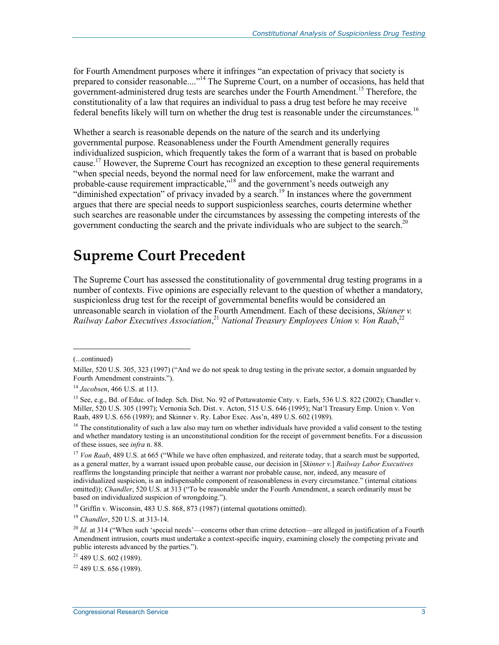for Fourth Amendment purposes where it infringes "an expectation of privacy that society is prepared to consider reasonable...."<sup>14</sup> The Supreme Court, on a number of occasions, has held that government-administered drug tests are searches under the Fourth Amendment.<sup>15</sup> Therefore, the constitutionality of a law that requires an individual to pass a drug test before he may receive federal benefits likely will turn on whether the drug test is reasonable under the circumstances.<sup>16</sup>

Whether a search is reasonable depends on the nature of the search and its underlying governmental purpose. Reasonableness under the Fourth Amendment generally requires individualized suspicion, which frequently takes the form of a warrant that is based on probable cause.17 However, the Supreme Court has recognized an exception to these general requirements "when special needs, beyond the normal need for law enforcement, make the warrant and probable-cause requirement impracticable,"<sup>18</sup> and the government's needs outweigh any "diminished expectation" of privacy invaded by a search.<sup>19</sup> In instances where the government argues that there are special needs to support suspicionless searches, courts determine whether such searches are reasonable under the circumstances by assessing the competing interests of the government conducting the search and the private individuals who are subject to the search.<sup>20</sup>

### **Supreme Court Precedent**

The Supreme Court has assessed the constitutionality of governmental drug testing programs in a number of contexts. Five opinions are especially relevant to the question of whether a mandatory, suspicionless drug test for the receipt of governmental benefits would be considered an unreasonable search in violation of the Fourth Amendment. Each of these decisions, *Skinner v.*  Railway Labor Executives Association,<sup>21</sup> National Treasury Employees Union v. Von Raab,<sup>22</sup>

(...continued)

1

 $18$  Griffin v. Wisconsin, 483 U.S. 868, 873 (1987) (internal quotations omitted).

<sup>19</sup> *Chandler*, 520 U.S. at 313-14.

21 489 U.S. 602 (1989).

 $22$  489 U.S. 656 (1989).

Miller, 520 U.S. 305, 323 (1997) ("And we do not speak to drug testing in the private sector, a domain unguarded by Fourth Amendment constraints.").

<sup>14</sup> *Jacobsen*, 466 U.S. at 113.

<sup>&</sup>lt;sup>15</sup> See, e.g., Bd. of Educ. of Indep. Sch. Dist. No. 92 of Pottawatomie Cnty. v. Earls, 536 U.S. 822 (2002); Chandler v. Miller, 520 U.S. 305 (1997); Vernonia Sch. Dist. v. Acton, 515 U.S. 646 (1995); Nat'l Treasury Emp. Union v. Von Raab, 489 U.S. 656 (1989); and Skinner v. Ry. Labor Exec. Ass'n, 489 U.S. 602 (1989).

 $16$  The constitutionality of such a law also may turn on whether individuals have provided a valid consent to the testing and whether mandatory testing is an unconstitutional condition for the receipt of government benefits. For a discussion of these issues, see *infra* n. 88.

<sup>&</sup>lt;sup>17</sup> *Von Raab*, 489 U.S. at 665 ("While we have often emphasized, and reiterate today, that a search must be supported, as a general matter, by a warrant issued upon probable cause, our decision in [*Skinner v.*] *Railway Labor Executives* reaffirms the longstanding principle that neither a warrant nor probable cause, nor, indeed, any measure of individualized suspicion, is an indispensable component of reasonableness in every circumstance." (internal citations omitted)); *Chandler*, 520 U.S. at 313 ("To be reasonable under the Fourth Amendment, a search ordinarily must be based on individualized suspicion of wrongdoing.").

<sup>&</sup>lt;sup>20</sup> *Id.* at 314 ("When such 'special needs'—concerns other than crime detection—are alleged in justification of a Fourth Amendment intrusion, courts must undertake a context-specific inquiry, examining closely the competing private and public interests advanced by the parties.").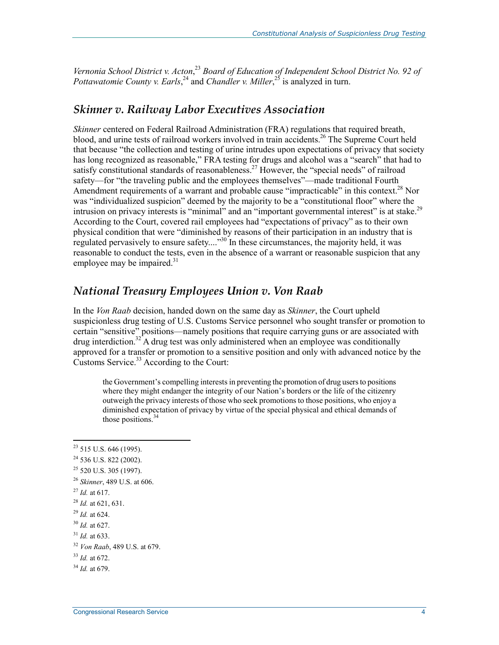Vernonia School District v. Acton,<sup>23</sup> Board of Education of Independent School District No. 92 of *Pottawatomie County v. Earls*,<sup>24</sup> and *Chandler v. Miller*,<sup>25</sup> is analyzed in turn.

#### *Skinner v. Railway Labor Executives Association*

*Skinner* centered on Federal Railroad Administration (FRA) regulations that required breath, blood, and urine tests of railroad workers involved in train accidents.<sup>26</sup> The Supreme Court held that because "the collection and testing of urine intrudes upon expectations of privacy that society has long recognized as reasonable," FRA testing for drugs and alcohol was a "search" that had to satisfy constitutional standards of reasonableness.<sup>27</sup> However, the "special needs" of railroad safety—for "the traveling public and the employees themselves"—made traditional Fourth Amendment requirements of a warrant and probable cause "impracticable" in this context.<sup>28</sup> Nor was "individualized suspicion" deemed by the majority to be a "constitutional floor" where the intrusion on privacy interests is "minimal" and an "important governmental interest" is at stake.<sup>29</sup> According to the Court, covered rail employees had "expectations of privacy" as to their own physical condition that were "diminished by reasons of their participation in an industry that is regulated pervasively to ensure safety...."<sup>30</sup> In these circumstances, the majority held, it was reasonable to conduct the tests, even in the absence of a warrant or reasonable suspicion that any employee may be impaired. $31$ 

#### *National Treasury Employees Union v. Von Raab*

In the *Von Raab* decision, handed down on the same day as *Skinner*, the Court upheld suspicionless drug testing of U.S. Customs Service personnel who sought transfer or promotion to certain "sensitive" positions—namely positions that require carrying guns or are associated with  $d$ rug interdiction.<sup>32</sup> A drug test was only administered when an employee was conditionally approved for a transfer or promotion to a sensitive position and only with advanced notice by the Customs Service.<sup>33</sup> According to the Court:

the Government's compelling interests in preventing the promotion of drug users to positions where they might endanger the integrity of our Nation's borders or the life of the citizenry outweigh the privacy interests of those who seek promotions to those positions, who enjoy a diminished expectation of privacy by virtue of the special physical and ethical demands of those positions.<sup>34</sup>

<sup>27</sup> *Id.* at 617.

- <sup>29</sup> *Id.* at 624.
- <sup>30</sup> *Id.* at 627.

 $23$  515 U.S. 646 (1995).

 $^{24}$  536 U.S. 822 (2002).

<sup>25 520</sup> U.S. 305 (1997).

<sup>26</sup> *Skinner*, 489 U.S. at 606.

<sup>28</sup> *Id.* at 621, 631.

<sup>31</sup> *Id.* at 633.

<sup>32</sup> *Von Raab*, 489 U.S. at 679.

<sup>33</sup> *Id.* at 672.

<sup>34</sup> *Id.* at 679.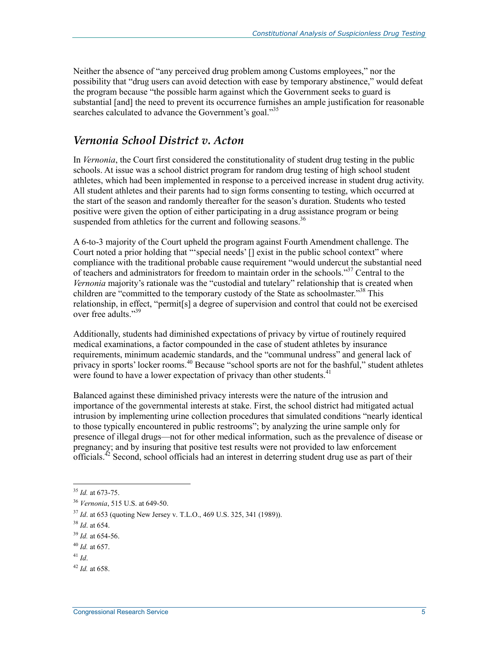Neither the absence of "any perceived drug problem among Customs employees," nor the possibility that "drug users can avoid detection with ease by temporary abstinence," would defeat the program because "the possible harm against which the Government seeks to guard is substantial [and] the need to prevent its occurrence furnishes an ample justification for reasonable searches calculated to advance the Government's goal."<sup>35</sup>

#### *Vernonia School District v. Acton*

In *Vernonia*, the Court first considered the constitutionality of student drug testing in the public schools. At issue was a school district program for random drug testing of high school student athletes, which had been implemented in response to a perceived increase in student drug activity. All student athletes and their parents had to sign forms consenting to testing, which occurred at the start of the season and randomly thereafter for the season's duration. Students who tested positive were given the option of either participating in a drug assistance program or being suspended from athletics for the current and following seasons.<sup>36</sup>

A 6-to-3 majority of the Court upheld the program against Fourth Amendment challenge. The Court noted a prior holding that "'special needs' [] exist in the public school context" where compliance with the traditional probable cause requirement "would undercut the substantial need of teachers and administrators for freedom to maintain order in the schools."<sup>37</sup> Central to the *Vernonia* majority's rationale was the "custodial and tutelary" relationship that is created when children are "committed to the temporary custody of the State as schoolmaster."<sup>38</sup> This relationship, in effect, "permit[s] a degree of supervision and control that could not be exercised over free adults."39

Additionally, students had diminished expectations of privacy by virtue of routinely required medical examinations, a factor compounded in the case of student athletes by insurance requirements, minimum academic standards, and the "communal undress" and general lack of privacy in sports' locker rooms.<sup>40</sup> Because "school sports are not for the bashful," student athletes were found to have a lower expectation of privacy than other students.<sup>41</sup>

Balanced against these diminished privacy interests were the nature of the intrusion and importance of the governmental interests at stake. First, the school district had mitigated actual intrusion by implementing urine collection procedures that simulated conditions "nearly identical to those typically encountered in public restrooms"; by analyzing the urine sample only for presence of illegal drugs—not for other medical information, such as the prevalence of disease or pregnancy; and by insuring that positive test results were not provided to law enforcement officials.42 Second, school officials had an interest in deterring student drug use as part of their

<sup>35</sup> *Id.* at 673-75.

<sup>36</sup> *Vernonia*, 515 U.S. at 649-50.

<sup>37</sup> *Id*. at 653 (quoting New Jersey v. T.L.O., 469 U.S. 325, 341 (1989)).

<sup>38</sup> *Id*. at 654.

<sup>39</sup> *Id.* at 654-56.

<sup>40</sup> *Id.* at 657.

<sup>41</sup> *Id*.

<sup>42</sup> *Id.* at 658.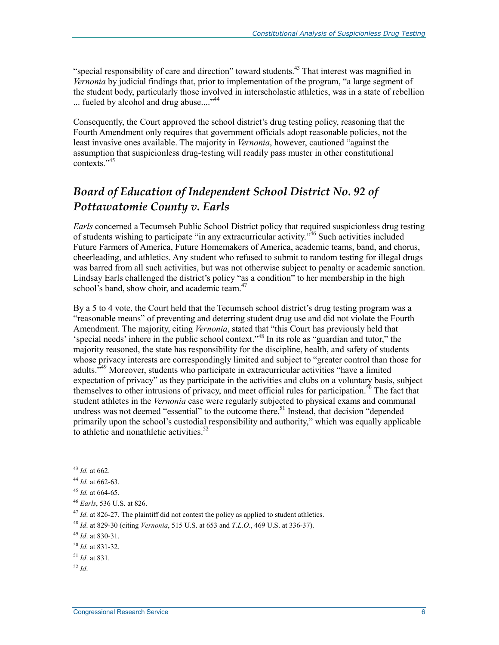"special responsibility of care and direction" toward students.<sup>43</sup> That interest was magnified in *Vernonia* by judicial findings that, prior to implementation of the program, "a large segment of the student body, particularly those involved in interscholastic athletics, was in a state of rebellion ... fueled by alcohol and drug abuse...."<sup>44</sup>

Consequently, the Court approved the school district's drug testing policy, reasoning that the Fourth Amendment only requires that government officials adopt reasonable policies, not the least invasive ones available. The majority in *Vernonia*, however, cautioned "against the assumption that suspicionless drug-testing will readily pass muster in other constitutional contexts<sup>"45</sup>

### *Board of Education of Independent School District No. 92 of Pottawatomie County v. Earls*

*Earls* concerned a Tecumseh Public School District policy that required suspicionless drug testing of students wishing to participate "in any extracurricular activity."<sup>46</sup> Such activities included Future Farmers of America, Future Homemakers of America, academic teams, band, and chorus, cheerleading, and athletics. Any student who refused to submit to random testing for illegal drugs was barred from all such activities, but was not otherwise subject to penalty or academic sanction. Lindsay Earls challenged the district's policy "as a condition" to her membership in the high school's band, show choir, and academic team.<sup>47</sup>

By a 5 to 4 vote, the Court held that the Tecumseh school district's drug testing program was a "reasonable means" of preventing and deterring student drug use and did not violate the Fourth Amendment. The majority, citing *Vernonia*, stated that "this Court has previously held that 'special needs' inhere in the public school context."48 In its role as "guardian and tutor," the majority reasoned, the state has responsibility for the discipline, health, and safety of students whose privacy interests are correspondingly limited and subject to "greater control than those for adults.<sup>349</sup> Moreover, students who participate in extracurricular activities "have a limited expectation of privacy" as they participate in the activities and clubs on a voluntary basis, subject themselves to other intrusions of privacy, and meet official rules for participation.<sup>50</sup> The fact that student athletes in the *Vernonia* case were regularly subjected to physical exams and communal undress was not deemed "essential" to the outcome there.<sup>51</sup> Instead, that decision "depended primarily upon the school's custodial responsibility and authority," which was equally applicable to athletic and nonathletic activities. $52$ 

<sup>1</sup> <sup>43</sup> *Id.* at 662.

<sup>44</sup> *Id.* at 662-63.

<sup>45</sup> *Id.* at 664-65.

<sup>46</sup> *Earls*, 536 U.S. at 826.

<sup>&</sup>lt;sup>47</sup> *Id.* at 826-27. The plaintiff did not contest the policy as applied to student athletics.

<sup>48</sup> *Id*. at 829-30 (citing *Vernonia*, 515 U.S. at 653 and *T.L.O.*, 469 U.S. at 336-37).

<sup>49</sup> *Id*. at 830-31.

<sup>50</sup> *Id.* at 831-32.

<sup>51</sup> *Id*. at 831.

<sup>52</sup> *Id*.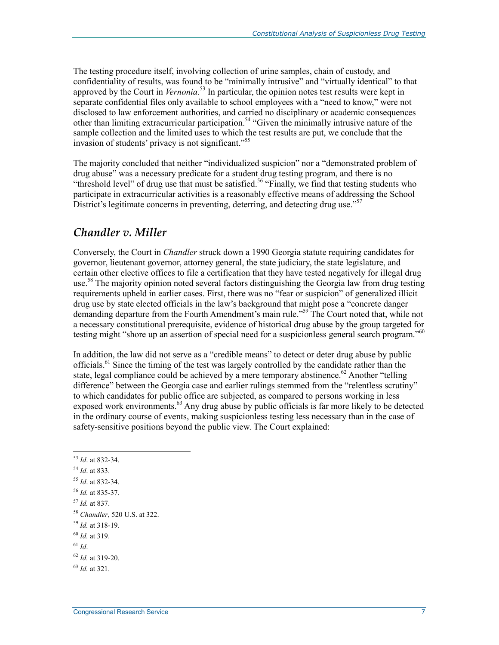The testing procedure itself, involving collection of urine samples, chain of custody, and confidentiality of results, was found to be "minimally intrusive" and "virtually identical" to that approved by the Court in *Vernonia*. 53 In particular, the opinion notes test results were kept in separate confidential files only available to school employees with a "need to know," were not disclosed to law enforcement authorities, and carried no disciplinary or academic consequences other than limiting extracurricular participation.<sup>54</sup> "Given the minimally intrusive nature of the sample collection and the limited uses to which the test results are put, we conclude that the invasion of students' privacy is not significant.<sup>555</sup>

The majority concluded that neither "individualized suspicion" nor a "demonstrated problem of drug abuse" was a necessary predicate for a student drug testing program, and there is no "threshold level" of drug use that must be satisfied.<sup>56</sup> "Finally, we find that testing students who participate in extracurricular activities is a reasonably effective means of addressing the School District's legitimate concerns in preventing, deterring, and detecting drug use."<sup>57</sup>

#### *Chandler v. Miller*

Conversely, the Court in *Chandler* struck down a 1990 Georgia statute requiring candidates for governor, lieutenant governor, attorney general, the state judiciary, the state legislature, and certain other elective offices to file a certification that they have tested negatively for illegal drug use.<sup>58</sup> The majority opinion noted several factors distinguishing the Georgia law from drug testing requirements upheld in earlier cases. First, there was no "fear or suspicion" of generalized illicit drug use by state elected officials in the law's background that might pose a "concrete danger demanding departure from the Fourth Amendment's main rule."<sup>59</sup> The Court noted that, while not a necessary constitutional prerequisite, evidence of historical drug abuse by the group targeted for testing might "shore up an assertion of special need for a suspicionless general search program."<sup>60</sup>

In addition, the law did not serve as a "credible means" to detect or deter drug abuse by public officials.<sup>61</sup> Since the timing of the test was largely controlled by the candidate rather than the state, legal compliance could be achieved by a mere temporary abstinence.<sup>62</sup> Another "telling" difference" between the Georgia case and earlier rulings stemmed from the "relentless scrutiny" to which candidates for public office are subjected, as compared to persons working in less exposed work environments.<sup>63</sup> Any drug abuse by public officials is far more likely to be detected in the ordinary course of events, making suspicionless testing less necessary than in the case of safety-sensitive positions beyond the public view. The Court explained:

<sup>&</sup>lt;u>.</u> <sup>53</sup> *Id*. at 832-34.

<sup>54</sup> *Id*. at 833.

<sup>55</sup> *Id*. at 832-34.

<sup>56</sup> *Id.* at 835-37.

<sup>57</sup> *Id.* at 837.

<sup>58</sup> *Chandler*, 520 U.S. at 322.

<sup>59</sup> *Id.* at 318-19.

<sup>60</sup> *Id.* at 319.

<sup>61</sup> *Id*.

<sup>62</sup> *Id.* at 319-20.

<sup>63</sup> *Id.* at 321.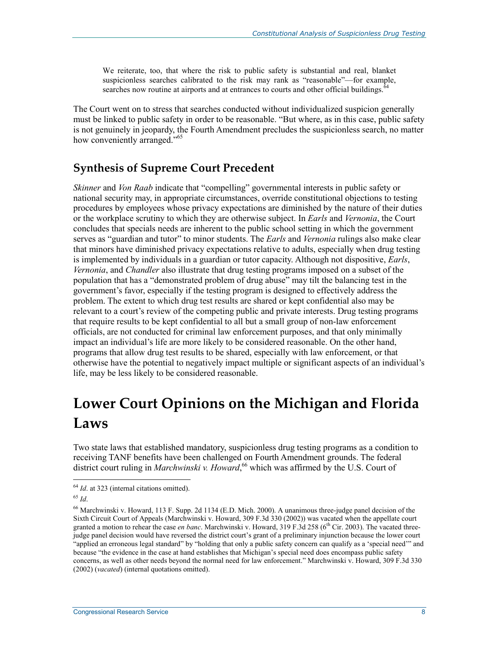We reiterate, too, that where the risk to public safety is substantial and real, blanket suspicionless searches calibrated to the risk may rank as "reasonable"—for example, searches now routine at airports and at entrances to courts and other official buildings. $64$ 

The Court went on to stress that searches conducted without individualized suspicion generally must be linked to public safety in order to be reasonable. "But where, as in this case, public safety is not genuinely in jeopardy, the Fourth Amendment precludes the suspicionless search, no matter how conveniently arranged."<sup>65</sup>

### **Synthesis of Supreme Court Precedent**

*Skinner* and *Von Raab* indicate that "compelling" governmental interests in public safety or national security may, in appropriate circumstances, override constitutional objections to testing procedures by employees whose privacy expectations are diminished by the nature of their duties or the workplace scrutiny to which they are otherwise subject. In *Earls* and *Vernonia*, the Court concludes that specials needs are inherent to the public school setting in which the government serves as "guardian and tutor" to minor students. The *Earls* and *Vernonia* rulings also make clear that minors have diminished privacy expectations relative to adults, especially when drug testing is implemented by individuals in a guardian or tutor capacity. Although not dispositive, *Earls*, *Vernonia*, and *Chandler* also illustrate that drug testing programs imposed on a subset of the population that has a "demonstrated problem of drug abuse" may tilt the balancing test in the government's favor, especially if the testing program is designed to effectively address the problem. The extent to which drug test results are shared or kept confidential also may be relevant to a court's review of the competing public and private interests. Drug testing programs that require results to be kept confidential to all but a small group of non-law enforcement officials, are not conducted for criminal law enforcement purposes, and that only minimally impact an individual's life are more likely to be considered reasonable. On the other hand, programs that allow drug test results to be shared, especially with law enforcement, or that otherwise have the potential to negatively impact multiple or significant aspects of an individual's life, may be less likely to be considered reasonable.

## **Lower Court Opinions on the Michigan and Florida Laws**

Two state laws that established mandatory, suspicionless drug testing programs as a condition to receiving TANF benefits have been challenged on Fourth Amendment grounds. The federal district court ruling in *Marchwinski v. Howard*,<sup>66</sup> which was affirmed by the U.S. Court of

<sup>&</sup>lt;sup>64</sup> *Id*. at 323 (internal citations omitted).

<sup>65</sup> *Id*.

<sup>66</sup> Marchwinski v. Howard, 113 F. Supp. 2d 1134 (E.D. Mich. 2000). A unanimous three-judge panel decision of the Sixth Circuit Court of Appeals (Marchwinski v. Howard, 309 F.3d 330 (2002)) was vacated when the appellate court granted a motion to rehear the case *en banc*. Marchwinski v. Howard, 319 F.3d 258 (6<sup>th</sup> Cir. 2003). The vacated threejudge panel decision would have reversed the district court's grant of a preliminary injunction because the lower court "applied an erroneous legal standard" by "holding that only a public safety concern can qualify as a 'special need'" and because "the evidence in the case at hand establishes that Michigan's special need does encompass public safety concerns, as well as other needs beyond the normal need for law enforcement." Marchwinski v. Howard, 309 F.3d 330 (2002) (*vacated*) (internal quotations omitted).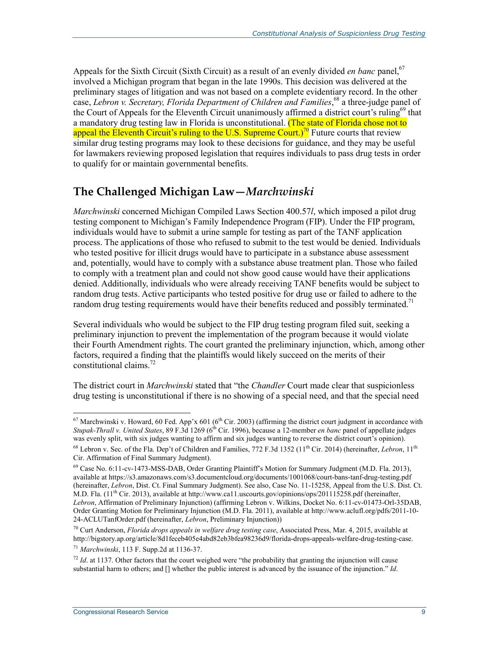Appeals for the Sixth Circuit (Sixth Circuit) as a result of an evenly divided *en banc* panel,<sup>67</sup> involved a Michigan program that began in the late 1990s. This decision was delivered at the preliminary stages of litigation and was not based on a complete evidentiary record. In the other case, *Lebron v. Secretary, Florida Department of Children and Families*, 68 a three-judge panel of the Court of Appeals for the Eleventh Circuit unanimously affirmed a district court's ruling<sup>69</sup> that a mandatory drug testing law in Florida is unconstitutional. (The state of Florida chose not to appeal the Eleventh Circuit's ruling to the U.S. Supreme Court.)<sup>70</sup> Future courts that review similar drug testing programs may look to these decisions for guidance, and they may be useful for lawmakers reviewing proposed legislation that requires individuals to pass drug tests in order to qualify for or maintain governmental benefits.

### **The Challenged Michigan Law—***Marchwinski*

*Marchwinski* concerned Michigan Compiled Laws Section 400.57*l*, which imposed a pilot drug testing component to Michigan's Family Independence Program (FIP). Under the FIP program, individuals would have to submit a urine sample for testing as part of the TANF application process. The applications of those who refused to submit to the test would be denied. Individuals who tested positive for illicit drugs would have to participate in a substance abuse assessment and, potentially, would have to comply with a substance abuse treatment plan. Those who failed to comply with a treatment plan and could not show good cause would have their applications denied. Additionally, individuals who were already receiving TANF benefits would be subject to random drug tests. Active participants who tested positive for drug use or failed to adhere to the random drug testing requirements would have their benefits reduced and possibly terminated.<sup>71</sup>

Several individuals who would be subject to the FIP drug testing program filed suit, seeking a preliminary injunction to prevent the implementation of the program because it would violate their Fourth Amendment rights. The court granted the preliminary injunction, which, among other factors, required a finding that the plaintiffs would likely succeed on the merits of their constitutional claims.<sup>72</sup>

The district court in *Marchwinski* stated that "the *Chandler* Court made clear that suspicionless drug testing is unconstitutional if there is no showing of a special need, and that the special need

<sup>&</sup>lt;sup>67</sup> Marchwinski v. Howard, 60 Fed. App'x 601 (6<sup>th</sup> Cir. 2003) (affirming the district court judgment in accordance with *Stupak-Thrall v. United States*, 89 F.3d 1269 (6th Cir. 1996), because a 12-member *en banc* panel of appellate judges was evenly split, with six judges wanting to affirm and six judges wanting to reverse the district court's opinion).

<sup>&</sup>lt;sup>68</sup> Lebron v. Sec. of the Fla. Dep't of Children and Families, 772 F.3d 1352 (11<sup>th</sup> Cir. 2014) (hereinafter, *Lebron*, 11<sup>th</sup> Cir. Affirmation of Final Summary Judgment).

<sup>69</sup> Case No. 6:11-cv-1473-MSS-DAB, Order Granting Plaintiff's Motion for Summary Judgment (M.D. Fla. 2013), available at https://s3.amazonaws.com/s3.documentcloud.org/documents/1001068/court-bans-tanf-drug-testing.pdf (hereinafter, *Lebron*, Dist. Ct. Final Summary Judgment). See also, Case No. 11-15258, Appeal from the U.S. Dist. Ct. M.D. Fla.  $(11<sup>th</sup>$  Cir. 2013), available at http://www.ca11.uscourts.gov/opinions/ops/201115258.pdf (hereinafter, *Lebron*, Affirmation of Preliminary Injunction) (affirming Lebron v. Wilkins, Docket No. 6:11-cv-01473-Orl-35DAB, Order Granting Motion for Preliminary Injunction (M.D. Fla. 2011), available at http://www.aclufl.org/pdfs/2011-10- 24-ACLUTanfOrder.pdf (hereinafter, *Lebron*, Preliminary Injunction))

<sup>70</sup> Curt Anderson, *Florida drops appeals in welfare drug testing case*, Associated Press, Mar. 4, 2015, available at http://bigstory.ap.org/article/8d1feceb405e4abd82eb3bfea98236d9/florida-drops-appeals-welfare-drug-testing-case.

<sup>71</sup> *Marchwinski*, 113 F. Supp.2d at 1136-37.

 $72$  *Id.* at 1137. Other factors that the court weighed were "the probability that granting the injunction will cause substantial harm to others; and [] whether the public interest is advanced by the issuance of the injunction." *Id*.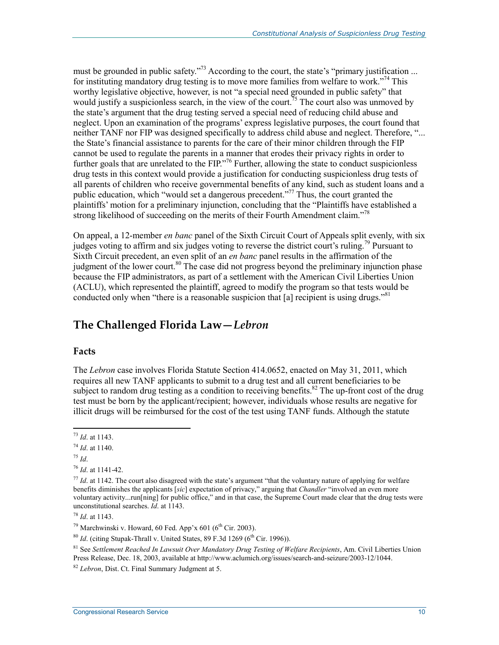must be grounded in public safety."<sup>73</sup> According to the court, the state's "primary justification ... for instituting mandatory drug testing is to move more families from welfare to work."74 This worthy legislative objective, however, is not "a special need grounded in public safety" that would justify a suspicionless search, in the view of the court.<sup>75</sup> The court also was unmoved by the state's argument that the drug testing served a special need of reducing child abuse and neglect. Upon an examination of the programs' express legislative purposes, the court found that neither TANF nor FIP was designed specifically to address child abuse and neglect. Therefore, "... the State's financial assistance to parents for the care of their minor children through the FIP cannot be used to regulate the parents in a manner that erodes their privacy rights in order to further goals that are unrelated to the FIP."<sup>76</sup> Further, allowing the state to conduct suspicionless drug tests in this context would provide a justification for conducting suspicionless drug tests of all parents of children who receive governmental benefits of any kind, such as student loans and a public education, which "would set a dangerous precedent."77 Thus, the court granted the plaintiffs' motion for a preliminary injunction, concluding that the "Plaintiffs have established a strong likelihood of succeeding on the merits of their Fourth Amendment claim.<sup>778</sup>

On appeal, a 12-member *en banc* panel of the Sixth Circuit Court of Appeals split evenly, with six judges voting to affirm and six judges voting to reverse the district court's ruling.<sup>79</sup> Pursuant to Sixth Circuit precedent, an even split of an *en banc* panel results in the affirmation of the judgment of the lower court.<sup>80</sup> The case did not progress beyond the preliminary injunction phase because the FIP administrators, as part of a settlement with the American Civil Liberties Union (ACLU), which represented the plaintiff, agreed to modify the program so that tests would be conducted only when "there is a reasonable suspicion that [a] recipient is using drugs."<sup>81</sup>

#### **The Challenged Florida Law—***Lebron*

#### **Facts**

The *Lebron* case involves Florida Statute Section 414.0652, enacted on May 31, 2011, which requires all new TANF applicants to submit to a drug test and all current beneficiaries to be subject to random drug testing as a condition to receiving benefits.<sup>82</sup> The up-front cost of the drug test must be born by the applicant/recipient; however, individuals whose results are negative for illicit drugs will be reimbursed for the cost of the test using TANF funds. Although the statute

<sup>75</sup> *Id*.

<u>.</u>

<sup>73</sup> *Id*. at 1143.

<sup>74</sup> *Id*. at 1140.

<sup>76</sup> *Id*. at 1141-42.

 $77$  *Id.* at 1142. The court also disagreed with the state's argument "that the voluntary nature of applying for welfare benefits diminishes the applicants [*sic*] expectation of privacy," arguing that *Chandler* "involved an even more voluntary activity...run[ning] for public office," and in that case, the Supreme Court made clear that the drug tests were unconstitutional searches. *Id*. at 1143.

<sup>78</sup> *Id*. at 1143.

<sup>&</sup>lt;sup>79</sup> Marchwinski v. Howard, 60 Fed. App'x 601 (6<sup>th</sup> Cir. 2003).

 $80$  *Id.* (citing Stupak-Thrall v. United States, 89 F.3d 1269 ( $6<sup>th</sup>$  Cir. 1996)).

<sup>81</sup> See *Settlement Reached In Lawsuit Over Mandatory Drug Testing of Welfare Recipients*, Am. Civil Liberties Union Press Release, Dec. 18, 2003, available at http://www.aclumich.org/issues/search-and-seizure/2003-12/1044.

<sup>82</sup> *Lebron*, Dist. Ct. Final Summary Judgment at 5.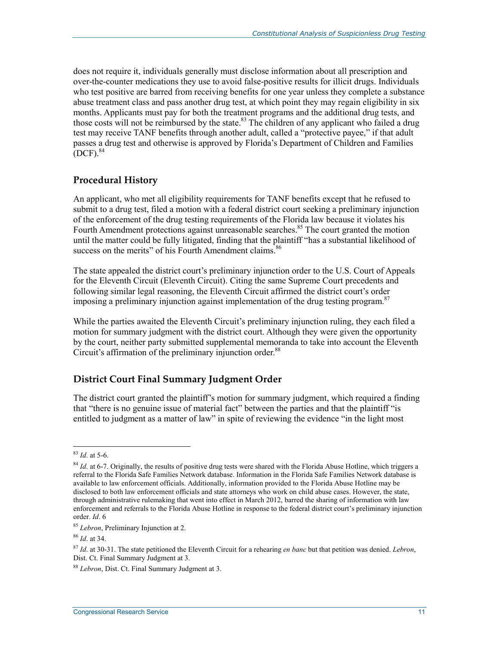does not require it, individuals generally must disclose information about all prescription and over-the-counter medications they use to avoid false-positive results for illicit drugs. Individuals who test positive are barred from receiving benefits for one year unless they complete a substance abuse treatment class and pass another drug test, at which point they may regain eligibility in six months. Applicants must pay for both the treatment programs and the additional drug tests, and those costs will not be reimbursed by the state. $83$  The children of any applicant who failed a drug test may receive TANF benefits through another adult, called a "protective payee," if that adult passes a drug test and otherwise is approved by Florida's Department of Children and Families  $[$ DCF $]$ .<sup>84</sup>

#### **Procedural History**

An applicant, who met all eligibility requirements for TANF benefits except that he refused to submit to a drug test, filed a motion with a federal district court seeking a preliminary injunction of the enforcement of the drug testing requirements of the Florida law because it violates his Fourth Amendment protections against unreasonable searches.<sup>85</sup> The court granted the motion until the matter could be fully litigated, finding that the plaintiff "has a substantial likelihood of success on the merits" of his Fourth Amendment claims.<sup>86</sup>

The state appealed the district court's preliminary injunction order to the U.S. Court of Appeals for the Eleventh Circuit (Eleventh Circuit). Citing the same Supreme Court precedents and following similar legal reasoning, the Eleventh Circuit affirmed the district court's order imposing a preliminary injunction against implementation of the drug testing program.  $87$ 

While the parties awaited the Eleventh Circuit's preliminary injunction ruling, they each filed a motion for summary judgment with the district court. Although they were given the opportunity by the court, neither party submitted supplemental memoranda to take into account the Eleventh Circuit's affirmation of the preliminary injunction order.<sup>88</sup>

#### **District Court Final Summary Judgment Order**

The district court granted the plaintiff's motion for summary judgment, which required a finding that "there is no genuine issue of material fact" between the parties and that the plaintiff "is entitled to judgment as a matter of law" in spite of reviewing the evidence "in the light most

<u>.</u>

<sup>83</sup> *Id*. at 5-6.

<sup>&</sup>lt;sup>84</sup> *Id.* at 6-7. Originally, the results of positive drug tests were shared with the Florida Abuse Hotline, which triggers a referral to the Florida Safe Families Network database. Information in the Florida Safe Families Network database is available to law enforcement officials. Additionally, information provided to the Florida Abuse Hotline may be disclosed to both law enforcement officials and state attorneys who work on child abuse cases. However, the state, through administrative rulemaking that went into effect in March 2012, barred the sharing of information with law enforcement and referrals to the Florida Abuse Hotline in response to the federal district court's preliminary injunction order. *Id*. 6

<sup>85</sup> *Lebron*, Preliminary Injunction at 2.

<sup>86</sup> *Id*. at 34.

<sup>87</sup> *Id*. at 30-31. The state petitioned the Eleventh Circuit for a rehearing *en banc* but that petition was denied. *Lebron*, Dist. Ct. Final Summary Judgment at 3.

<sup>88</sup> *Lebron*, Dist. Ct. Final Summary Judgment at 3.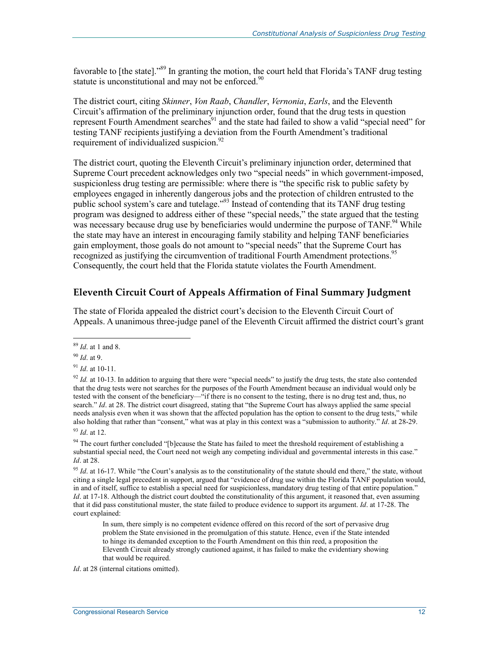favorable to [the state]."<sup>89</sup> In granting the motion, the court held that Florida's TANF drug testing statute is unconstitutional and may not be enforced.<sup>90</sup>

The district court, citing *Skinner*, *Von Raab*, *Chandler*, *Vernonia*, *Earls*, and the Eleventh Circuit's affirmation of the preliminary injunction order, found that the drug tests in question represent Fourth Amendment searches<sup>91</sup> and the state had failed to show a valid "special need" for testing TANF recipients justifying a deviation from the Fourth Amendment's traditional requirement of individualized suspicion. $^{92}$ 

The district court, quoting the Eleventh Circuit's preliminary injunction order, determined that Supreme Court precedent acknowledges only two "special needs" in which government-imposed, suspicionless drug testing are permissible: where there is "the specific risk to public safety by employees engaged in inherently dangerous jobs and the protection of children entrusted to the public school system's care and tutelage."93 Instead of contending that its TANF drug testing program was designed to address either of these "special needs," the state argued that the testing was necessary because drug use by beneficiaries would undermine the purpose of TANF.<sup>94</sup> While the state may have an interest in encouraging family stability and helping TANF beneficiaries gain employment, those goals do not amount to "special needs" that the Supreme Court has recognized as justifying the circumvention of traditional Fourth Amendment protections.<sup>95</sup> Consequently, the court held that the Florida statute violates the Fourth Amendment.

#### **Eleventh Circuit Court of Appeals Affirmation of Final Summary Judgment**

The state of Florida appealed the district court's decision to the Eleventh Circuit Court of Appeals. A unanimous three-judge panel of the Eleventh Circuit affirmed the district court's grant

1

<sup>91</sup> *Id*. at 10-11.

<sup>94</sup> The court further concluded "[b]ecause the State has failed to meet the threshold requirement of establishing a substantial special need, the Court need not weigh any competing individual and governmental interests in this case." *Id*. at 28.

<sup>95</sup> *Id.* at 16-17. While "the Court's analysis as to the constitutionality of the statute should end there," the state, without citing a single legal precedent in support, argued that "evidence of drug use within the Florida TANF population would, in and of itself, suffice to establish a special need for suspicionless, mandatory drug testing of that entire population." *Id.* at 17-18. Although the district court doubted the constitutionality of this argument, it reasoned that, even assuming that it did pass constitutional muster, the state failed to produce evidence to support its argument. *Id*. at 17-28. The court explained:

In sum, there simply is no competent evidence offered on this record of the sort of pervasive drug problem the State envisioned in the promulgation of this statute. Hence, even if the State intended to hinge its demanded exception to the Fourth Amendment on this thin reed, a proposition the Eleventh Circuit already strongly cautioned against, it has failed to make the evidentiary showing that would be required.

*Id*. at 28 (internal citations omitted).

<sup>89</sup> *Id*. at 1 and 8.

<sup>90</sup> *Id*. at 9.

 $92$  *Id.* at 10-13. In addition to arguing that there were "special needs" to justify the drug tests, the state also contended that the drug tests were not searches for the purposes of the Fourth Amendment because an individual would only be tested with the consent of the beneficiary—"if there is no consent to the testing, there is no drug test and, thus, no search." *Id.* at 28. The district court disagreed, stating that "the Supreme Court has always applied the same special needs analysis even when it was shown that the affected population has the option to consent to the drug tests," while also holding that rather than "consent," what was at play in this context was a "submission to authority." *Id*. at 28-29. <sup>93</sup> *Id*. at 12.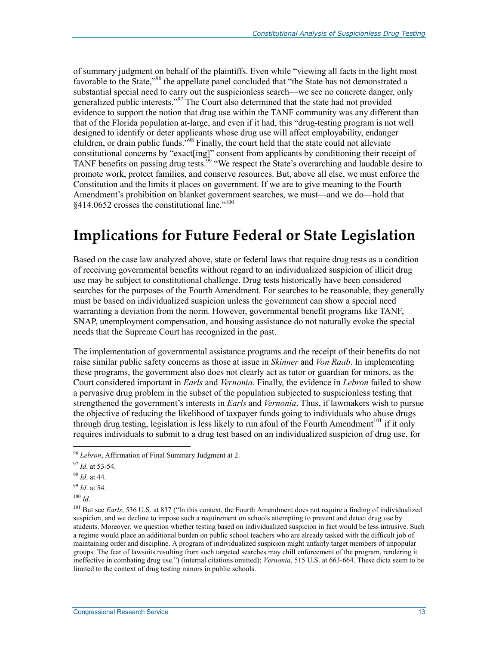of summary judgment on behalf of the plaintiffs. Even while "viewing all facts in the light most favorable to the State,"<sup>96</sup> the appellate panel concluded that "the State has not demonstrated a substantial special need to carry out the suspicionless search—we see no concrete danger, only generalized public interests."<sup>97</sup> The Court also determined that the state had not provided evidence to support the notion that drug use within the TANF community was any different than that of the Florida population at-large, and even if it had, this "drug-testing program is not well designed to identify or deter applicants whose drug use will affect employability, endanger children, or drain public funds.<sup>598</sup> Finally, the court held that the state could not alleviate constitutional concerns by "exact[ing]" consent from applicants by conditioning their receipt of TANF benefits on passing drug tests.<sup>99</sup> "We respect the State's overarching and laudable desire to promote work, protect families, and conserve resources. But, above all else, we must enforce the Constitution and the limits it places on government. If we are to give meaning to the Fourth Amendment's prohibition on blanket government searches, we must—and we do—hold that §414.0652 crosses the constitutional line."100

### **Implications for Future Federal or State Legislation**

Based on the case law analyzed above, state or federal laws that require drug tests as a condition of receiving governmental benefits without regard to an individualized suspicion of illicit drug use may be subject to constitutional challenge. Drug tests historically have been considered searches for the purposes of the Fourth Amendment. For searches to be reasonable, they generally must be based on individualized suspicion unless the government can show a special need warranting a deviation from the norm. However, governmental benefit programs like TANF, SNAP, unemployment compensation, and housing assistance do not naturally evoke the special needs that the Supreme Court has recognized in the past.

The implementation of governmental assistance programs and the receipt of their benefits do not raise similar public safety concerns as those at issue in *Skinner* and *Von Raab*. In implementing these programs, the government also does not clearly act as tutor or guardian for minors, as the Court considered important in *Earls* and *Vernonia*. Finally, the evidence in *Lebron* failed to show a pervasive drug problem in the subset of the population subjected to suspicionless testing that strengthened the government's interests in *Earls* and *Vernonia*. Thus, if lawmakers wish to pursue the objective of reducing the likelihood of taxpayer funds going to individuals who abuse drugs through drug testing, legislation is less likely to run afoul of the Fourth Amendment<sup>101</sup> if it only requires individuals to submit to a drug test based on an individualized suspicion of drug use, for

<u>.</u>

<sup>96</sup> *Lebron*, Affirmation of Final Summary Judgment at 2.

<sup>97</sup> *Id*. at 53-54.

<sup>98</sup> *Id*. at 44.

<sup>99</sup> *Id*. at 54.

 $100$  *Id.* 

<sup>&</sup>lt;sup>101</sup> But see *Earls*, 536 U.S. at 837 ("In this context, the Fourth Amendment does not require a finding of individualized suspicion, and we decline to impose such a requirement on schools attempting to prevent and detect drug use by students. Moreover, we question whether testing based on individualized suspicion in fact would be less intrusive. Such a regime would place an additional burden on public school teachers who are already tasked with the difficult job of maintaining order and discipline. A program of individualized suspicion might unfairly target members of unpopular groups. The fear of lawsuits resulting from such targeted searches may chill enforcement of the program, rendering it ineffective in combating drug use.") (internal citations omitted); *Vernonia*, 515 U.S. at 663-664. These dicta seem to be limited to the context of drug testing minors in public schools.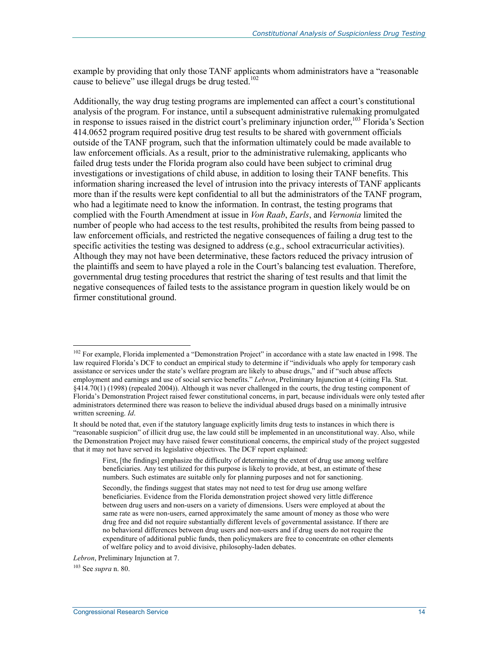example by providing that only those TANF applicants whom administrators have a "reasonable cause to believe" use illegal drugs be drug tested.<sup>102</sup>

Additionally, the way drug testing programs are implemented can affect a court's constitutional analysis of the program. For instance, until a subsequent administrative rulemaking promulgated in response to issues raised in the district court's preliminary injunction order,  $^{103}$  Florida's Section 414.0652 program required positive drug test results to be shared with government officials outside of the TANF program, such that the information ultimately could be made available to law enforcement officials. As a result, prior to the administrative rulemaking, applicants who failed drug tests under the Florida program also could have been subject to criminal drug investigations or investigations of child abuse, in addition to losing their TANF benefits. This information sharing increased the level of intrusion into the privacy interests of TANF applicants more than if the results were kept confidential to all but the administrators of the TANF program, who had a legitimate need to know the information. In contrast, the testing programs that complied with the Fourth Amendment at issue in *Von Raab*, *Earls*, and *Vernonia* limited the number of people who had access to the test results, prohibited the results from being passed to law enforcement officials, and restricted the negative consequences of failing a drug test to the specific activities the testing was designed to address (e.g., school extracurricular activities). Although they may not have been determinative, these factors reduced the privacy intrusion of the plaintiffs and seem to have played a role in the Court's balancing test evaluation. Therefore, governmental drug testing procedures that restrict the sharing of test results and that limit the negative consequences of failed tests to the assistance program in question likely would be on firmer constitutional ground.

<sup>&</sup>lt;sup>102</sup> For example, Florida implemented a "Demonstration Project" in accordance with a state law enacted in 1998. The law required Florida's DCF to conduct an empirical study to determine if "individuals who apply for temporary cash assistance or services under the state's welfare program are likely to abuse drugs," and if "such abuse affects employment and earnings and use of social service benefits." *Lebron*, Preliminary Injunction at 4 (citing Fla. Stat. §414.70(1) (1998) (repealed 2004)). Although it was never challenged in the courts, the drug testing component of Florida's Demonstration Project raised fewer constitutional concerns, in part, because individuals were only tested after administrators determined there was reason to believe the individual abused drugs based on a minimally intrusive written screening. *Id*.

It should be noted that, even if the statutory language explicitly limits drug tests to instances in which there is "reasonable suspicion" of illicit drug use, the law could still be implemented in an unconstitutional way. Also, while the Demonstration Project may have raised fewer constitutional concerns, the empirical study of the project suggested that it may not have served its legislative objectives. The DCF report explained:

First, [the findings] emphasize the difficulty of determining the extent of drug use among welfare beneficiaries. Any test utilized for this purpose is likely to provide, at best, an estimate of these numbers. Such estimates are suitable only for planning purposes and not for sanctioning.

Secondly, the findings suggest that states may not need to test for drug use among welfare beneficiaries. Evidence from the Florida demonstration project showed very little difference between drug users and non-users on a variety of dimensions. Users were employed at about the same rate as were non-users, earned approximately the same amount of money as those who were drug free and did not require substantially different levels of governmental assistance. If there are no behavioral differences between drug users and non-users and if drug users do not require the expenditure of additional public funds, then policymakers are free to concentrate on other elements of welfare policy and to avoid divisive, philosophy-laden debates.

*Lebron*, Preliminary Injunction at 7.

<sup>103</sup> See *supra* n. 80.